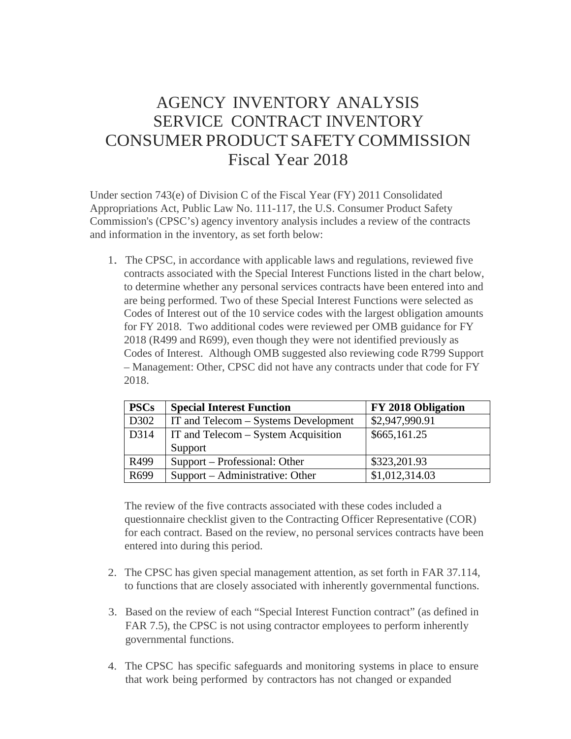## AGENCY INVENTORY ANALYSIS SERVICE CONTRACT INVENTORY CONSUMER PRODUCT SAFETY COMMISSION Fiscal Year 2018

Under section 743(e) of Division C of the Fiscal Year (FY) 2011 Consolidated Appropriations Act, Public Law No. 111-117, the U.S. Consumer Product Safety Commission's (CPSC's) agency inventory analysis includes a review of the contracts and information in the inventory, as set forth below:

1. The CPSC, in accordance with applicable laws and regulations, reviewed five contracts associated with the Special Interest Functions listed in the chart below, to determine whether any personal services contracts have been entered into and are being performed. Two of these Special Interest Functions were selected as Codes of Interest out of the 10 service codes with the largest obligation amounts for FY 2018. Two additional codes were reviewed per OMB guidance for FY 2018 (R499 and R699), even though they were not identified previously as Codes of Interest. Although OMB suggested also reviewing code R799 Support – Management: Other, CPSC did not have any contracts under that code for FY 2018.

| <b>PSCs</b> | <b>Special Interest Function</b>           | <b>FY 2018 Obligation</b> |
|-------------|--------------------------------------------|---------------------------|
| D302        | IT and Telecom – Systems Development       | \$2,947,990.91            |
| D314        | <b>IT and Telecom – System Acquisition</b> | \$665,161.25              |
|             | Support                                    |                           |
| R499        | Support – Professional: Other              | \$323,201.93              |
| R699        | Support – Administrative: Other            | \$1,012,314.03            |

The review of the five contracts associated with these codes included a questionnaire checklist given to the Contracting Officer Representative (COR) for each contract. Based on the review, no personal services contracts have been entered into during this period.

- 2. The CPSC has given special management attention, as set forth in FAR 37.114, to functions that are closely associated with inherently governmental functions.
- 3. Based on the review of each "Special Interest Function contract" (as defined in FAR 7.5), the CPSC is not using contractor employees to perform inherently governmental functions.
- 4. The CPSC has specific safeguards and monitoring systems in place to ensure that work being performed by contractors has not changed or expanded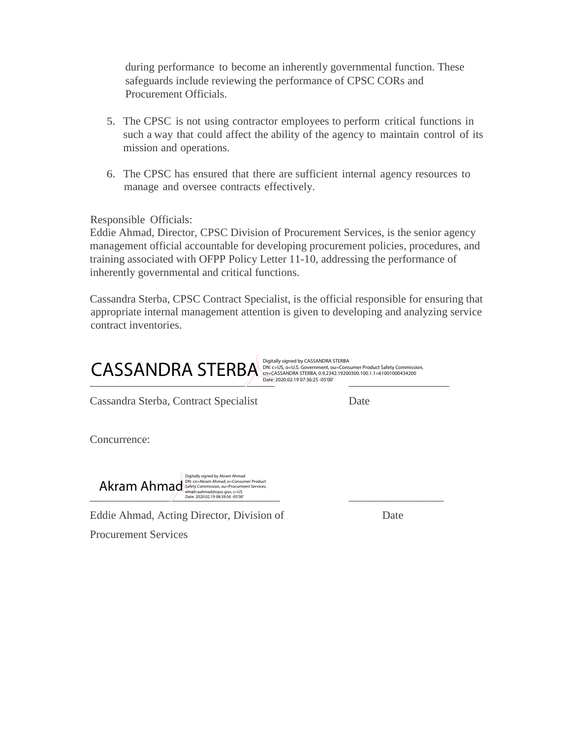during performance to become an inherently governmental function. These safeguards include reviewing the performance of CPSC CORs and Procurement Officials.

- 5. The CPSC is not using contractor employees to perform critical functions in such a way that could affect the ability of the agency to maintain control of its mission and operations.
- 6. The CPSC has ensured that there are sufficient internal agency resources to manage and oversee contracts effectively.

Responsible Officials:

Eddie Ahmad, Director, CPSC Division of Procurement Services, is the senior agency management official accountable for developing procurement policies, procedures, and training associated with OFPP Policy Letter 11-10, addressing the performance of inherently governmental and critical functions.

Cassandra Sterba, CPSC Contract Specialist, is the official responsible for ensuring that appropriate internal management attention is given to developing and analyzing service contract inventories.



Cassandra Sterba, Contract Specialist Date

Concurrence:



Eddie Ahmad, Acting Director, Division of Date Procurement Services